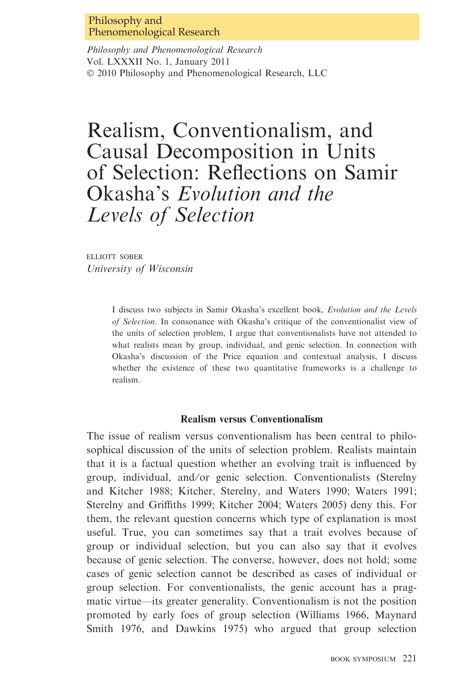## Philosophy and Phenomenological Research

Philosophy and Phenomenological Research Vol. LXXXII No. 1, January 2011  $© 2010 Philosophy and Phenomenological Research, LLC$ 

# Realism, Conventionalism, and Causal Decomposition in Units of Selection: Reflections on Samir Okasha's Evolution and the Levels of Selection

elliott sober University of Wisconsin

> I discuss two subjects in Samir Okasha's excellent book, Evolution and the Levels of Selection. In consonance with Okasha's critique of the conventionalist view of the units of selection problem, I argue that conventionalists have not attended to what realists mean by group, individual, and genic selection. In connection with Okasha's discussion of the Price equation and contextual analysis, I discuss whether the existence of these two quantitative frameworks is a challenge to realism.

#### Realism versus Conventionalism

The issue of realism versus conventionalism has been central to philosophical discussion of the units of selection problem. Realists maintain that it is a factual question whether an evolving trait is influenced by group, individual, and/or genic selection. Conventionalists (Sterelny and Kitcher 1988; Kitcher, Sterelny, and Waters 1990; Waters 1991; Sterelny and Griffiths 1999; Kitcher 2004; Waters 2005) deny this. For them, the relevant question concerns which type of explanation is most useful. True, you can sometimes say that a trait evolves because of group or individual selection, but you can also say that it evolves because of genic selection. The converse, however, does not hold; some cases of genic selection cannot be described as cases of individual or group selection. For conventionalists, the genic account has a pragmatic virtue—its greater generality. Conventionalism is not the position promoted by early foes of group selection (Williams 1966, Maynard Smith 1976, and Dawkins 1975) who argued that group selection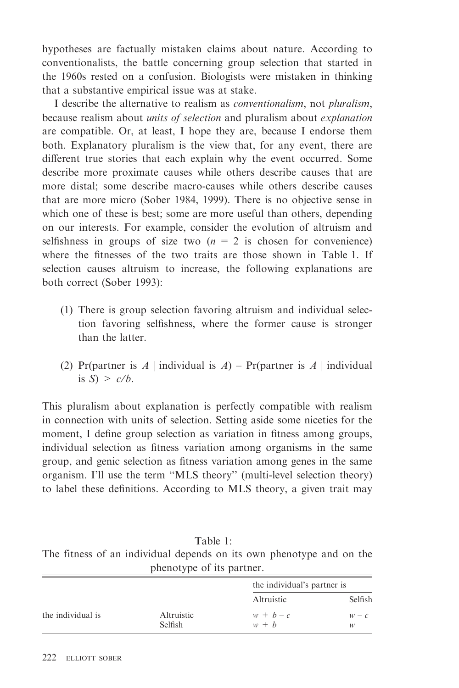hypotheses are factually mistaken claims about nature. According to conventionalists, the battle concerning group selection that started in the 1960s rested on a confusion. Biologists were mistaken in thinking that a substantive empirical issue was at stake.

I describe the alternative to realism as conventionalism, not pluralism, because realism about units of selection and pluralism about explanation are compatible. Or, at least, I hope they are, because I endorse them both. Explanatory pluralism is the view that, for any event, there are different true stories that each explain why the event occurred. Some describe more proximate causes while others describe causes that are more distal; some describe macro-causes while others describe causes that are more micro (Sober 1984, 1999). There is no objective sense in which one of these is best; some are more useful than others, depending on our interests. For example, consider the evolution of altruism and selfishness in groups of size two  $(n = 2$  is chosen for convenience) where the fitnesses of the two traits are those shown in Table 1. If selection causes altruism to increase, the following explanations are both correct (Sober 1993):

- (1) There is group selection favoring altruism and individual selection favoring selfishness, where the former cause is stronger than the latter.
- (2) Pr(partner is A | individual is A) Pr(partner is A | individual is  $S \geq c/h$ .

This pluralism about explanation is perfectly compatible with realism in connection with units of selection. Setting aside some niceties for the moment, I define group selection as variation in fitness among groups, individual selection as fitness variation among organisms in the same group, and genic selection as fitness variation among genes in the same organism. I'll use the term ''MLS theory'' (multi-level selection theory) to label these definitions. According to MLS theory, a given trait may

|  |  | Table 1:                  |  |                                                                      |  |  |
|--|--|---------------------------|--|----------------------------------------------------------------------|--|--|
|  |  |                           |  | The fitness of an individual depends on its own phenotype and on the |  |  |
|  |  | phenotype of its partner. |  |                                                                      |  |  |

|                   |                       | the individual's partner is |              |  |
|-------------------|-----------------------|-----------------------------|--------------|--|
|                   |                       | Altruistic                  | Selfish      |  |
| the individual is | Altruistic<br>Selfish | $w + b - c$<br>$w + b$      | $W = C$<br>w |  |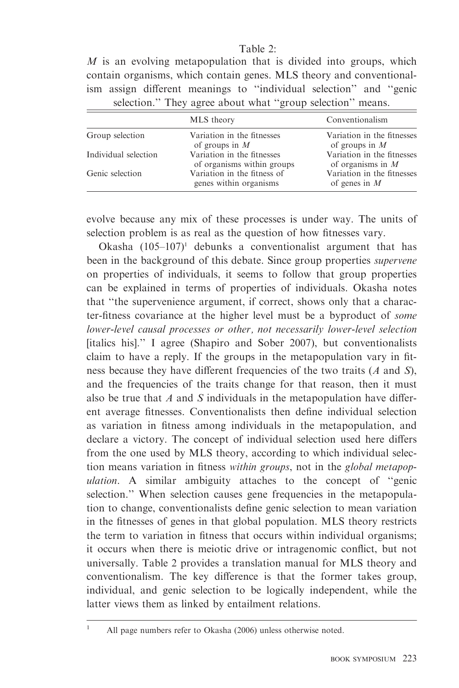## Table 2:

 $M$  is an evolving metapopulation that is divided into groups, which contain organisms, which contain genes. MLS theory and conventionalism assign different meanings to ''individual selection'' and ''genic selection." They agree about what "group selection" means.

|                      | MLS theory                                               | Conventionalism                                   |
|----------------------|----------------------------------------------------------|---------------------------------------------------|
| Group selection      | Variation in the fitnesses<br>of groups in $M$           | Variation in the fitnesses<br>of groups in $M$    |
| Individual selection | Variation in the fitnesses<br>of organisms within groups | Variation in the fitnesses<br>of organisms in $M$ |
| Genic selection      | Variation in the fitness of<br>genes within organisms    | Variation in the fitnesses<br>of genes in $M$     |

evolve because any mix of these processes is under way. The units of selection problem is as real as the question of how fitnesses vary.

Okasha  $(105-107)^1$  debunks a conventionalist argument that has been in the background of this debate. Since group properties supervene on properties of individuals, it seems to follow that group properties can be explained in terms of properties of individuals. Okasha notes that ''the supervenience argument, if correct, shows only that a character-fitness covariance at the higher level must be a byproduct of some lower-level causal processes or other, not necessarily lower-level selection [italics his].'' I agree (Shapiro and Sober 2007), but conventionalists claim to have a reply. If the groups in the metapopulation vary in fitness because they have different frequencies of the two traits (A and S), and the frequencies of the traits change for that reason, then it must also be true that  $A$  and  $S$  individuals in the metapopulation have different average fitnesses. Conventionalists then define individual selection as variation in fitness among individuals in the metapopulation, and declare a victory. The concept of individual selection used here differs from the one used by MLS theory, according to which individual selection means variation in fitness within groups, not in the global metapopulation. A similar ambiguity attaches to the concept of ''genic selection." When selection causes gene frequencies in the metapopulation to change, conventionalists define genic selection to mean variation in the fitnesses of genes in that global population. MLS theory restricts the term to variation in fitness that occurs within individual organisms; it occurs when there is meiotic drive or intragenomic conflict, but not universally. Table 2 provides a translation manual for MLS theory and conventionalism. The key difference is that the former takes group, individual, and genic selection to be logically independent, while the latter views them as linked by entailment relations.

<sup>&</sup>lt;sup>1</sup> All page numbers refer to Okasha (2006) unless otherwise noted.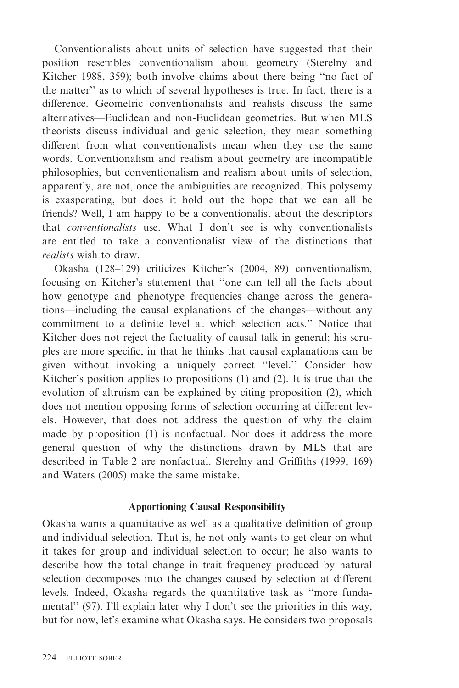Conventionalists about units of selection have suggested that their position resembles conventionalism about geometry (Sterelny and Kitcher 1988, 359); both involve claims about there being ''no fact of the matter'' as to which of several hypotheses is true. In fact, there is a difference. Geometric conventionalists and realists discuss the same alternatives—Euclidean and non-Euclidean geometries. But when MLS theorists discuss individual and genic selection, they mean something different from what conventionalists mean when they use the same words. Conventionalism and realism about geometry are incompatible philosophies, but conventionalism and realism about units of selection, apparently, are not, once the ambiguities are recognized. This polysemy is exasperating, but does it hold out the hope that we can all be friends? Well, I am happy to be a conventionalist about the descriptors that conventionalists use. What I don't see is why conventionalists are entitled to take a conventionalist view of the distinctions that realists wish to draw.

Okasha (128–129) criticizes Kitcher's (2004, 89) conventionalism, focusing on Kitcher's statement that ''one can tell all the facts about how genotype and phenotype frequencies change across the generations—including the causal explanations of the changes—without any commitment to a definite level at which selection acts.'' Notice that Kitcher does not reject the factuality of causal talk in general; his scruples are more specific, in that he thinks that causal explanations can be given without invoking a uniquely correct ''level.'' Consider how Kitcher's position applies to propositions (1) and (2). It is true that the evolution of altruism can be explained by citing proposition (2), which does not mention opposing forms of selection occurring at different levels. However, that does not address the question of why the claim made by proposition (1) is nonfactual. Nor does it address the more general question of why the distinctions drawn by MLS that are described in Table 2 are nonfactual. Sterelny and Griffiths (1999, 169) and Waters (2005) make the same mistake.

#### Apportioning Causal Responsibility

Okasha wants a quantitative as well as a qualitative definition of group and individual selection. That is, he not only wants to get clear on what it takes for group and individual selection to occur; he also wants to describe how the total change in trait frequency produced by natural selection decomposes into the changes caused by selection at different levels. Indeed, Okasha regards the quantitative task as ''more fundamental'' (97). I'll explain later why I don't see the priorities in this way, but for now, let's examine what Okasha says. He considers two proposals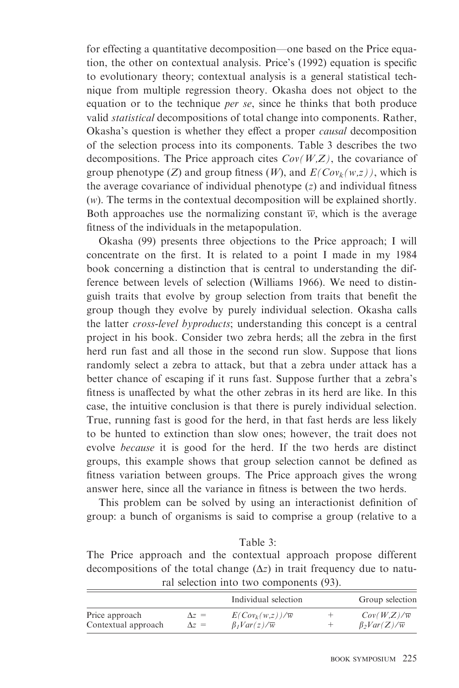for effecting a quantitative decomposition—one based on the Price equation, the other on contextual analysis. Price's (1992) equation is specific to evolutionary theory; contextual analysis is a general statistical technique from multiple regression theory. Okasha does not object to the equation or to the technique *per se*, since he thinks that both produce valid statistical decompositions of total change into components. Rather, Okasha's question is whether they effect a proper causal decomposition of the selection process into its components. Table 3 describes the two decompositions. The Price approach cites  $Cov(W,Z)$ , the covariance of group phenotype (Z) and group fitness (W), and  $E(Cov_k(w,z))$ , which is the average covariance of individual phenotype  $(z)$  and individual fitness (w). The terms in the contextual decomposition will be explained shortly. Both approaches use the normalizing constant  $\overline{w}$ , which is the average fitness of the individuals in the metapopulation.

Okasha (99) presents three objections to the Price approach; I will concentrate on the first. It is related to a point I made in my 1984 book concerning a distinction that is central to understanding the difference between levels of selection (Williams 1966). We need to distinguish traits that evolve by group selection from traits that benefit the group though they evolve by purely individual selection. Okasha calls the latter cross-level byproducts; understanding this concept is a central project in his book. Consider two zebra herds; all the zebra in the first herd run fast and all those in the second run slow. Suppose that lions randomly select a zebra to attack, but that a zebra under attack has a better chance of escaping if it runs fast. Suppose further that a zebra's fitness is unaffected by what the other zebras in its herd are like. In this case, the intuitive conclusion is that there is purely individual selection. True, running fast is good for the herd, in that fast herds are less likely to be hunted to extinction than slow ones; however, the trait does not evolve because it is good for the herd. If the two herds are distinct groups, this example shows that group selection cannot be defined as fitness variation between groups. The Price approach gives the wrong answer here, since all the variance in fitness is between the two herds.

This problem can be solved by using an interactionist definition of group: a bunch of organisms is said to comprise a group (relative to a

Table 3:

|  |  | The Price approach and the contextual approach propose different                |  |  |
|--|--|---------------------------------------------------------------------------------|--|--|
|  |  | decompositions of the total change $(\Delta z)$ in trait frequency due to natu- |  |  |
|  |  | ral selection into two components (93).                                         |  |  |

|                     |              | Individual selection          | Group selection               |
|---------------------|--------------|-------------------------------|-------------------------------|
| Price approach      | $\Delta z =$ | $E(Cov_k(w,z))/\overline{w}$  | $Cov(W,Z)/\overline{w}$       |
| Contextual approach | $\Delta z =$ | $\beta_1 Var(z)/\overline{w}$ | $\beta_2 Var(Z)/\overline{w}$ |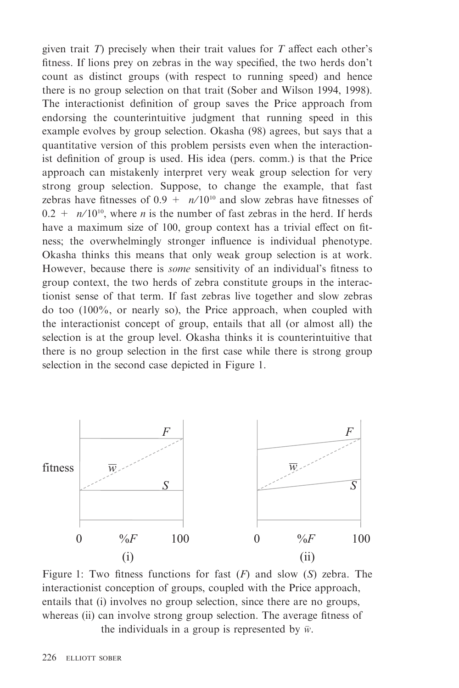given trait  $T$ ) precisely when their trait values for  $T$  affect each other's fitness. If lions prey on zebras in the way specified, the two herds don't count as distinct groups (with respect to running speed) and hence there is no group selection on that trait (Sober and Wilson 1994, 1998). The interactionist definition of group saves the Price approach from endorsing the counterintuitive judgment that running speed in this example evolves by group selection. Okasha (98) agrees, but says that a quantitative version of this problem persists even when the interactionist definition of group is used. His idea (pers. comm.) is that the Price approach can mistakenly interpret very weak group selection for very strong group selection. Suppose, to change the example, that fast zebras have fitnesses of  $0.9 + n/10^{10}$  and slow zebras have fitnesses of  $0.2 + n/10^{10}$ , where *n* is the number of fast zebras in the herd. If herds have a maximum size of 100, group context has a trivial effect on fitness; the overwhelmingly stronger influence is individual phenotype. Okasha thinks this means that only weak group selection is at work. However, because there is some sensitivity of an individual's fitness to group context, the two herds of zebra constitute groups in the interactionist sense of that term. If fast zebras live together and slow zebras do too (100%, or nearly so), the Price approach, when coupled with the interactionist concept of group, entails that all (or almost all) the selection is at the group level. Okasha thinks it is counterintuitive that there is no group selection in the first case while there is strong group selection in the second case depicted in Figure 1.



Figure 1: Two fitness functions for fast  $(F)$  and slow  $(S)$  zebra. The interactionist conception of groups, coupled with the Price approach, entails that (i) involves no group selection, since there are no groups, whereas (ii) can involve strong group selection. The average fitness of the individuals in a group is represented by  $\bar{w}$ .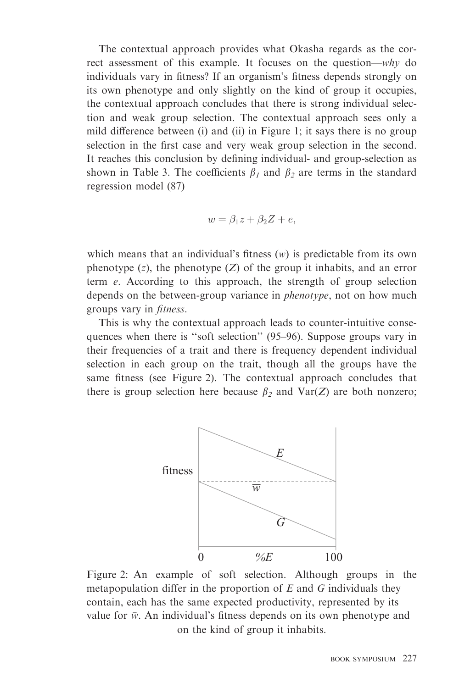The contextual approach provides what Okasha regards as the correct assessment of this example. It focuses on the question—why do individuals vary in fitness? If an organism's fitness depends strongly on its own phenotype and only slightly on the kind of group it occupies, the contextual approach concludes that there is strong individual selection and weak group selection. The contextual approach sees only a mild difference between (i) and (ii) in Figure 1; it says there is no group selection in the first case and very weak group selection in the second. It reaches this conclusion by defining individual- and group-selection as shown in Table 3. The coefficients  $\beta_1$  and  $\beta_2$  are terms in the standard regression model (87)

$$
w = \beta_1 z + \beta_2 Z + e,
$$

which means that an individual's fitness  $(w)$  is predictable from its own phenotype  $(z)$ , the phenotype  $(Z)$  of the group it inhabits, and an error term e. According to this approach, the strength of group selection depends on the between-group variance in *phenotype*, not on how much groups vary in fitness.

This is why the contextual approach leads to counter-intuitive consequences when there is ''soft selection'' (95–96). Suppose groups vary in their frequencies of a trait and there is frequency dependent individual selection in each group on the trait, though all the groups have the same fitness (see Figure 2). The contextual approach concludes that there is group selection here because  $\beta_2$  and Var(Z) are both nonzero;



Figure 2: An example of soft selection. Although groups in the metapopulation differ in the proportion of  $E$  and  $G$  individuals they contain, each has the same expected productivity, represented by its value for  $\bar{w}$ . An individual's fitness depends on its own phenotype and on the kind of group it inhabits.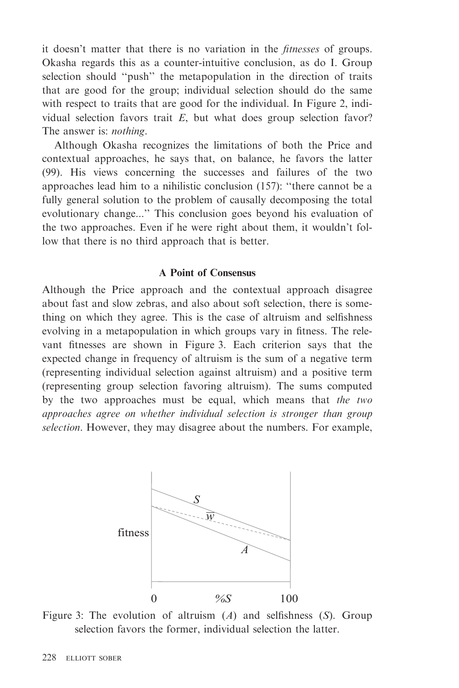it doesn't matter that there is no variation in the fitnesses of groups. Okasha regards this as a counter-intuitive conclusion, as do I. Group selection should ''push'' the metapopulation in the direction of traits that are good for the group; individual selection should do the same with respect to traits that are good for the individual. In Figure 2, individual selection favors trait  $E$ , but what does group selection favor? The answer is: nothing.

Although Okasha recognizes the limitations of both the Price and contextual approaches, he says that, on balance, he favors the latter (99). His views concerning the successes and failures of the two approaches lead him to a nihilistic conclusion (157): ''there cannot be a fully general solution to the problem of causally decomposing the total evolutionary change...'' This conclusion goes beyond his evaluation of the two approaches. Even if he were right about them, it wouldn't follow that there is no third approach that is better.

#### A Point of Consensus

Although the Price approach and the contextual approach disagree about fast and slow zebras, and also about soft selection, there is something on which they agree. This is the case of altruism and selfishness evolving in a metapopulation in which groups vary in fitness. The relevant fitnesses are shown in Figure 3. Each criterion says that the expected change in frequency of altruism is the sum of a negative term (representing individual selection against altruism) and a positive term (representing group selection favoring altruism). The sums computed by the two approaches must be equal, which means that the two approaches agree on whether individual selection is stronger than group selection. However, they may disagree about the numbers. For example,



Figure 3: The evolution of altruism  $(A)$  and selfishness  $(S)$ . Group selection favors the former, individual selection the latter.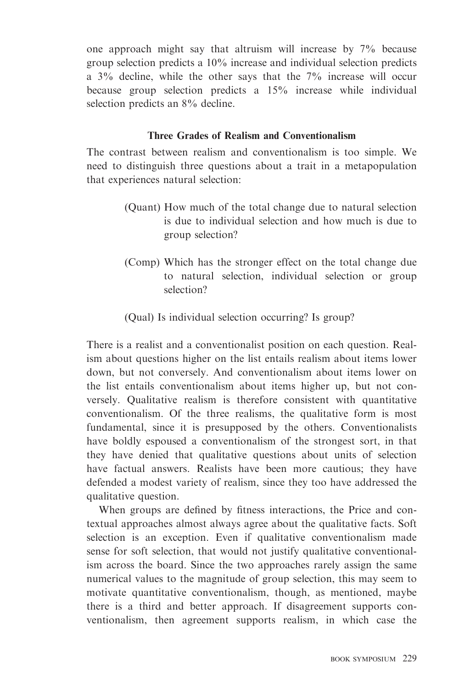one approach might say that altruism will increase by 7% because group selection predicts a 10% increase and individual selection predicts a 3% decline, while the other says that the 7% increase will occur because group selection predicts a 15% increase while individual selection predicts an 8% decline.

## Three Grades of Realism and Conventionalism

The contrast between realism and conventionalism is too simple. We need to distinguish three questions about a trait in a metapopulation that experiences natural selection:

- (Quant) How much of the total change due to natural selection is due to individual selection and how much is due to group selection?
- (Comp) Which has the stronger effect on the total change due to natural selection, individual selection or group selection?

(Qual) Is individual selection occurring? Is group?

There is a realist and a conventionalist position on each question. Realism about questions higher on the list entails realism about items lower down, but not conversely. And conventionalism about items lower on the list entails conventionalism about items higher up, but not conversely. Qualitative realism is therefore consistent with quantitative conventionalism. Of the three realisms, the qualitative form is most fundamental, since it is presupposed by the others. Conventionalists have boldly espoused a conventionalism of the strongest sort, in that they have denied that qualitative questions about units of selection have factual answers. Realists have been more cautious; they have defended a modest variety of realism, since they too have addressed the qualitative question.

When groups are defined by fitness interactions, the Price and contextual approaches almost always agree about the qualitative facts. Soft selection is an exception. Even if qualitative conventionalism made sense for soft selection, that would not justify qualitative conventionalism across the board. Since the two approaches rarely assign the same numerical values to the magnitude of group selection, this may seem to motivate quantitative conventionalism, though, as mentioned, maybe there is a third and better approach. If disagreement supports conventionalism, then agreement supports realism, in which case the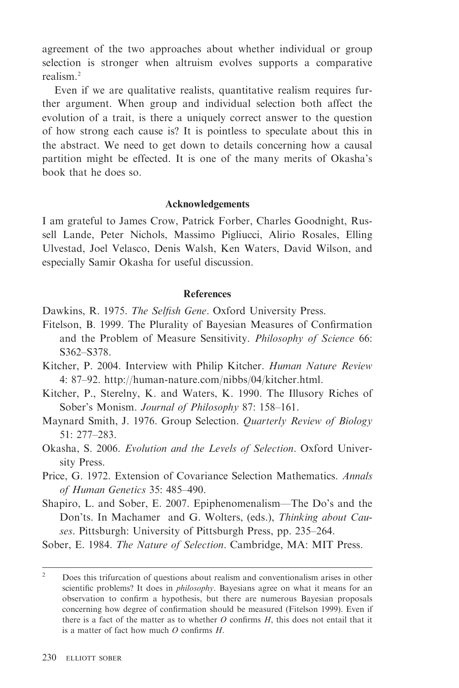agreement of the two approaches about whether individual or group selection is stronger when altruism evolves supports a comparative realism.2

Even if we are qualitative realists, quantitative realism requires further argument. When group and individual selection both affect the evolution of a trait, is there a uniquely correct answer to the question of how strong each cause is? It is pointless to speculate about this in the abstract. We need to get down to details concerning how a causal partition might be effected. It is one of the many merits of Okasha's book that he does so.

#### Acknowledgements

I am grateful to James Crow, Patrick Forber, Charles Goodnight, Russell Lande, Peter Nichols, Massimo Pigliucci, Alirio Rosales, Elling Ulvestad, Joel Velasco, Denis Walsh, Ken Waters, David Wilson, and especially Samir Okasha for useful discussion.

### **References**

Dawkins, R. 1975. The Selfish Gene. Oxford University Press.

- Fitelson, B. 1999. The Plurality of Bayesian Measures of Confirmation and the Problem of Measure Sensitivity. Philosophy of Science 66: S362–S378.
- Kitcher, P. 2004. Interview with Philip Kitcher. Human Nature Review 4: 87–92. http://human-nature.com/nibbs/04/kitcher.html.
- Kitcher, P., Sterelny, K. and Waters, K. 1990. The Illusory Riches of Sober's Monism. Journal of Philosophy 87: 158–161.
- Maynard Smith, J. 1976. Group Selection. Quarterly Review of Biology 51: 277–283.
- Okasha, S. 2006. Evolution and the Levels of Selection. Oxford University Press.
- Price, G. 1972. Extension of Covariance Selection Mathematics. Annals of Human Genetics 35: 485–490.
- Shapiro, L. and Sober, E. 2007. Epiphenomenalism—The Do's and the Don'ts. In Machamer and G. Wolters, (eds.), Thinking about Causes. Pittsburgh: University of Pittsburgh Press, pp. 235–264.

Sober, E. 1984. The Nature of Selection. Cambridge, MA: MIT Press.

<sup>&</sup>lt;sup>2</sup> Does this trifurcation of questions about realism and conventionalism arises in other scientific problems? It does in *philosophy*. Bayesians agree on what it means for an observation to confirm a hypothesis, but there are numerous Bayesian proposals concerning how degree of confirmation should be measured (Fitelson 1999). Even if there is a fact of the matter as to whether  $O$  confirms  $H$ , this does not entail that it is a matter of fact how much  $\ddot{\theta}$  confirms  $H$ .